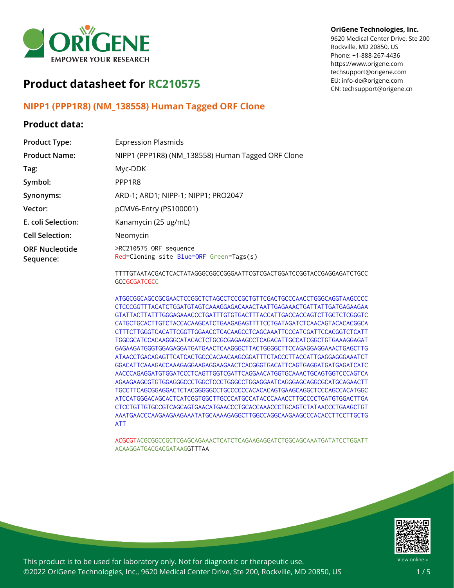

# **Product datasheet for RC210575**

### **NIPP1 (PPP1R8) (NM\_138558) Human Tagged ORF Clone**

### **Product data:**

| <b>Product Type:</b>               | <b>Expression Plasmids</b>                                        |
|------------------------------------|-------------------------------------------------------------------|
| <b>Product Name:</b>               | NIPP1 (PPP1R8) (NM_138558) Human Tagged ORF Clone                 |
| Tag:                               | Myc-DDK                                                           |
| Symbol:                            | PPP1R8                                                            |
| Synonyms:                          | ARD-1; ARD1; NIPP-1; NIPP1; PRO2047                               |
| Vector:                            | pCMV6-Entry (PS100001)                                            |
| E. coli Selection:                 | Kanamycin (25 ug/mL)                                              |
| <b>Cell Selection:</b>             | Neomycin                                                          |
| <b>ORF Nucleotide</b><br>Sequence: | >RC210575 ORF sequence<br>Red=Cloning site Blue=ORF Green=Tags(s) |
|                                    |                                                                   |

TTTTGTAATACGACTCACTATAGGGCGGCCGGGAATTCGTCGACTGGATCCGGTACCGAGGAGATCTGCC **GCCGCGATCGCC** 

ATGGCGGCAGCCGCGAACTCCGGCTCTAGCCTCCCGCTGTTCGACTGCCCAACCTGGGCAGGTAAGCCCC CTCCCGGTTTACATCTGGATGTAGTCAAAGGAGACAAACTAATTGAGAAACTGATTATTGATGAGAAGAA GTATTACTTATTTGGGAGAAACCCTGATTTGTGTGACTTTACCATTGACCACCAGTCTTGCTCTCGGGTC CATGCTGCACTTGTCTACCACAAGCATCTGAAGAGAGTTTTCCTGATAGATCTCAACAGTACACACGGCA CTTTCTTGGGTCACATTCGGTTGGAACCTCACAAGCCTCAGCAAATTCCCATCGATTCCACGGTCTCATT TGGCGCATCCACAAGGGCATACACTCTGCGCGAGAAGCCTCAGACATTGCCATCGGCTGTGAAAGGAGAT GAGAAGATGGGTGGAGAGGATGATGAACTCAAGGGCTTACTGGGGCTTCCAGAGGAGGAAACTGAGCTTG ATAACCTGACAGAGTTCATCACTGCCCACAACAAGCGGATTTCTACCCTTACCATTGAGGAGGGAAATCT GGACATTCAAAGACCAAAGAGGAAGAGGAAGAACTCACGGGTGACATTCAGTGAGGATGATGAGATCATC AACCCAGAGGATGTGGATCCCTCAGTTGGTCGATTCAGGAACATGGTGCAAACTGCAGTGGTCCCAGTCA AGAAGAAGCGTGTGGAGGGCCCTGGCTCCCTGGGCCTGGAGGAATCAGGGAGCAGGCGCATGCAGAACTT TGCCTTCAGCGGAGGACTCTACGGGGGCCTGCCCCCCACACACAGTGAAGCAGGCTCCCAGCCACATGGC ATCCATGGGACAGCACTCATCGGTGGCTTGCCCATGCCATACCCAAACCTTGCCCCTGATGTGGACTTGA CTCCTGTTGTGCCGTCAGCAGTGAACATGAACCCTGCACCAAACCCTGCAGTCTATAACCCTGAAGCTGT AAATGAACCCAAGAAGAAGAAATATGCAAAAGAGGCTTGGCCAGGCAAGAAGCCCACACCTTCCTTGCTG ATT

ACGCGTACGCGGCCGCTCGAGCAGAAACTCATCTCAGAAGAGGATCTGGCAGCAAATGATATCCTGGATT ACAAGGATGACGACGATAAGGTTTAA



View online »

This product is to be used for laboratory only. Not for diagnostic or therapeutic use. ©2022 OriGene Technologies, Inc., 9620 Medical Center Drive, Ste 200, Rockville, MD 20850, US

#### **OriGene Technologies, Inc.**

9620 Medical Center Drive, Ste 200 Rockville, MD 20850, US Phone: +1-888-267-4436 https://www.origene.com techsupport@origene.com EU: info-de@origene.com CN: techsupport@origene.cn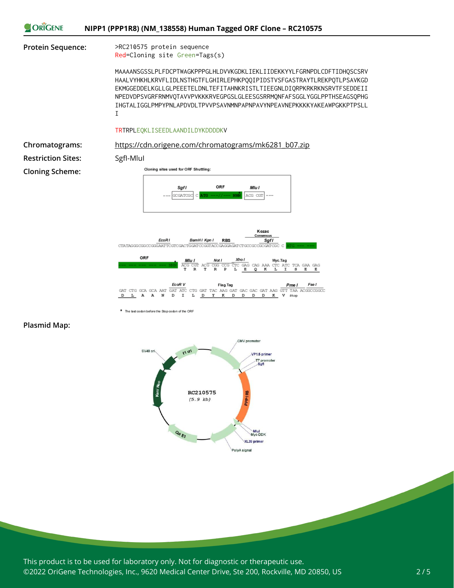

#### **Plasmid Map:**



\* The last codon before the Stop codon of the ORF

This product is to be used for laboratory only. Not for diagnostic or therapeutic use. ©2022 OriGene Technologies, Inc., 9620 Medical Center Drive, Ste 200, Rockville, MD 20850, US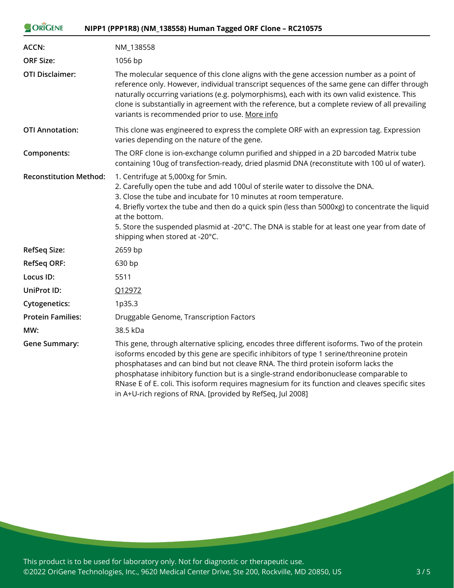| <b>ORIGENE</b>                | NIPP1 (PPP1R8) (NM_138558) Human Tagged ORF Clone - RC210575                                                                                                                                                                                                                                                                                                                                                                                                                                                                             |
|-------------------------------|------------------------------------------------------------------------------------------------------------------------------------------------------------------------------------------------------------------------------------------------------------------------------------------------------------------------------------------------------------------------------------------------------------------------------------------------------------------------------------------------------------------------------------------|
| ACCN:                         | NM_138558                                                                                                                                                                                                                                                                                                                                                                                                                                                                                                                                |
| <b>ORF Size:</b>              | 1056 bp                                                                                                                                                                                                                                                                                                                                                                                                                                                                                                                                  |
| <b>OTI Disclaimer:</b>        | The molecular sequence of this clone aligns with the gene accession number as a point of<br>reference only. However, individual transcript sequences of the same gene can differ through<br>naturally occurring variations (e.g. polymorphisms), each with its own valid existence. This<br>clone is substantially in agreement with the reference, but a complete review of all prevailing<br>variants is recommended prior to use. More info                                                                                           |
| <b>OTI Annotation:</b>        | This clone was engineered to express the complete ORF with an expression tag. Expression<br>varies depending on the nature of the gene.                                                                                                                                                                                                                                                                                                                                                                                                  |
| Components:                   | The ORF clone is ion-exchange column purified and shipped in a 2D barcoded Matrix tube<br>containing 10ug of transfection-ready, dried plasmid DNA (reconstitute with 100 ul of water).                                                                                                                                                                                                                                                                                                                                                  |
| <b>Reconstitution Method:</b> | 1. Centrifuge at 5,000xg for 5min.<br>2. Carefully open the tube and add 100ul of sterile water to dissolve the DNA.<br>3. Close the tube and incubate for 10 minutes at room temperature.<br>4. Briefly vortex the tube and then do a quick spin (less than 5000xg) to concentrate the liquid<br>at the bottom.<br>5. Store the suspended plasmid at -20°C. The DNA is stable for at least one year from date of<br>shipping when stored at -20°C.                                                                                      |
| <b>RefSeq Size:</b>           | 2659 bp                                                                                                                                                                                                                                                                                                                                                                                                                                                                                                                                  |
| <b>RefSeq ORF:</b>            | 630 bp                                                                                                                                                                                                                                                                                                                                                                                                                                                                                                                                   |
| Locus ID:                     | 5511                                                                                                                                                                                                                                                                                                                                                                                                                                                                                                                                     |
| UniProt ID:                   | Q12972                                                                                                                                                                                                                                                                                                                                                                                                                                                                                                                                   |
| <b>Cytogenetics:</b>          | 1p35.3                                                                                                                                                                                                                                                                                                                                                                                                                                                                                                                                   |
| <b>Protein Families:</b>      | Druggable Genome, Transcription Factors                                                                                                                                                                                                                                                                                                                                                                                                                                                                                                  |
| MW:                           | 38.5 kDa                                                                                                                                                                                                                                                                                                                                                                                                                                                                                                                                 |
| <b>Gene Summary:</b>          | This gene, through alternative splicing, encodes three different isoforms. Two of the protein<br>isoforms encoded by this gene are specific inhibitors of type 1 serine/threonine protein<br>phosphatases and can bind but not cleave RNA. The third protein isoform lacks the<br>phosphatase inhibitory function but is a single-strand endoribonuclease comparable to<br>RNase E of E. coli. This isoform requires magnesium for its function and cleaves specific sites<br>in A+U-rich regions of RNA. [provided by RefSeq, Jul 2008] |

This product is to be used for laboratory only. Not for diagnostic or therapeutic use. ©2022 OriGene Technologies, Inc., 9620 Medical Center Drive, Ste 200, Rockville, MD 20850, US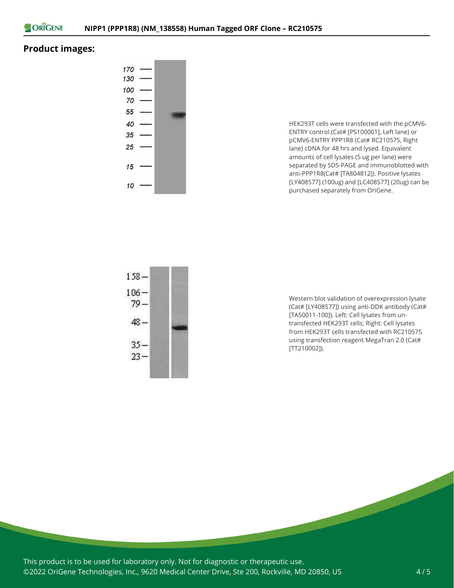

## **Product images:**



HEK293T cells were transfected with the pCMV6- ENTRY control (Cat# [PS100001], Left lane) or pCMV6-ENTRY PPP1R8 (Cat# RC210575, Right lane) cDNA for 48 hrs and lysed. Equivalent amounts of cell lysates (5 ug per lane) were separated by SDS-PAGE and immunoblotted with anti-PPP1R8(Cat# [TA804812]). Positive lysates [LY408577] (100ug) and [LC408577] (20ug) can be purchased separately from OriGene.



Western blot validation of overexpression lysate (Cat# [LY408577]) using anti-DDK antibody (Cat# [TA50011-100]). Left: Cell lysates from untransfected HEK293T cells; Right: Cell lysates from HEK293T cells transfected with RC210575 using transfection reagent MegaTran 2.0 (Cat# [TT210002]).

This product is to be used for laboratory only. Not for diagnostic or therapeutic use. ©2022 OriGene Technologies, Inc., 9620 Medical Center Drive, Ste 200, Rockville, MD 20850, US